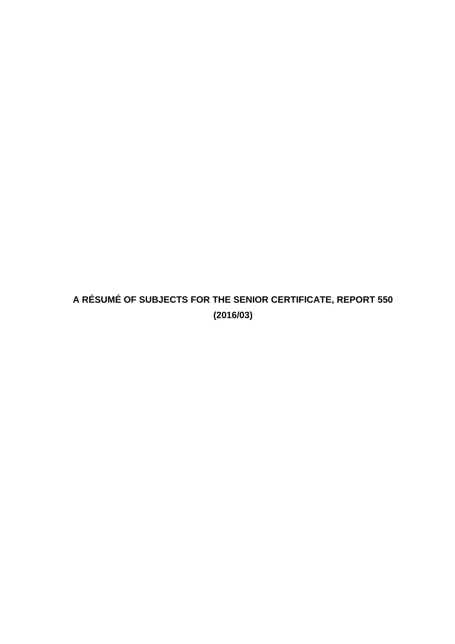# **A RÉSUMÉ OF SUBJECTS FOR THE SENIOR CERTIFICATE, REPORT 550 (2016/03)**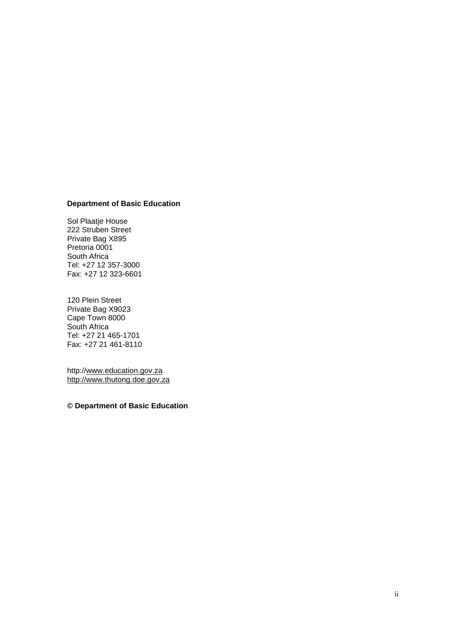#### **Department of Basic Education**

Sol Plaatje House 222 Struben Street Private Bag X895 Pretoria 0001 South Africa Tel: +27 12 357-3000 Fax: +27 12 323-6601

120 Plein Street Private Bag X9023 Cape Town 8000 South Africa Tel: +27 21 465-1701 Fax: +27 21 461-8110

http:/[/www.education.gov.za](http://www.education.gov.za/) [http://www.thutong.doe.gov.za](http://www.thutong.doe.gov.za/)

**© Department of Basic Education**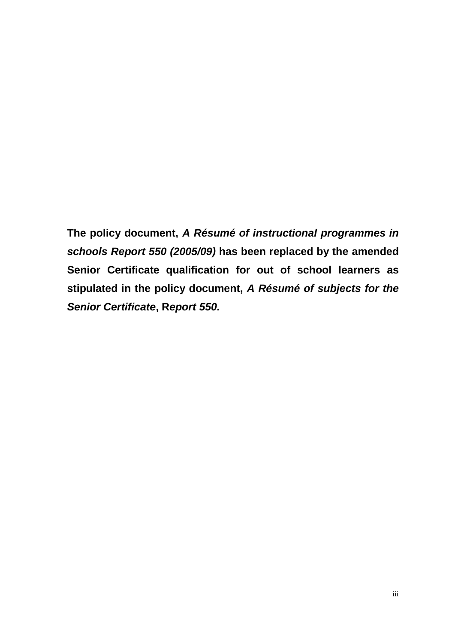**The policy document,** *A Résumé of instructional programmes in schools Report 550 (2005/09)* **has been replaced by the amended Senior Certificate qualification for out of school learners as stipulated in the policy document,** *A Résumé of subjects for the Senior Certificate***, R***eport 550.*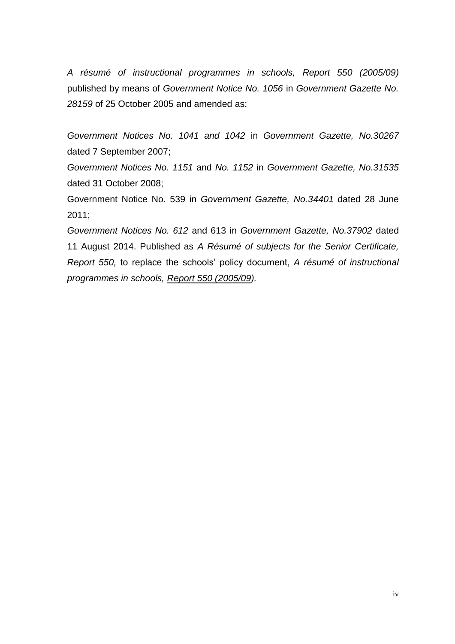*A résumé of instructional programmes in schools, Report 550 (2005/09)*  published by means of *Government Notice No. 1056* in *Government Gazette No. 28159* of 25 October 2005 and amended as:

*Government Notices No. 1041 and 1042* in *Government Gazette, No.30267* dated 7 September 2007;

*Government Notices No. 1151* and *No. 1152* in *Government Gazette, No.31535* dated 31 October 2008;

Government Notice No. 539 in *Government Gazette, No.34401* dated 28 June 2011;

*Government Notices No. 612* and 613 in *Government Gazette, No.37902* dated 11 August 2014. Published as *A Résumé of subjects for the Senior Certificate, Report 550,* to replace the schools' policy document, *A résumé of instructional programmes in schools, Report 550 (2005/09).*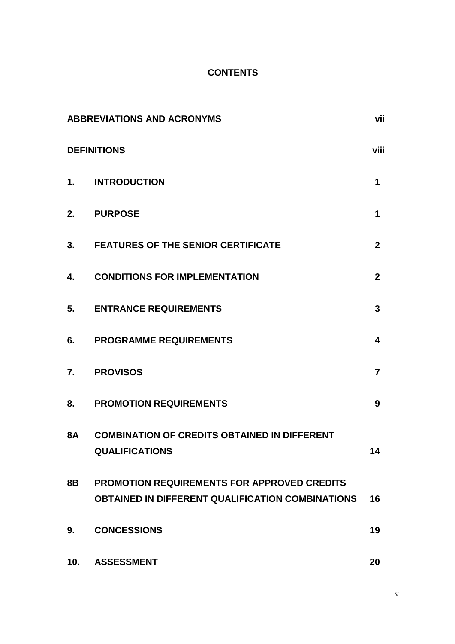## **CONTENTS**

|           | <b>ABBREVIATIONS AND ACRONYMS</b>                                                                             | vii            |
|-----------|---------------------------------------------------------------------------------------------------------------|----------------|
|           | <b>DEFINITIONS</b>                                                                                            | viii           |
|           | 1. INTRODUCTION                                                                                               | 1              |
| 2.        | <b>PURPOSE</b>                                                                                                | 1              |
| 3.        | <b>FEATURES OF THE SENIOR CERTIFICATE</b>                                                                     | $\overline{2}$ |
| 4.        | <b>CONDITIONS FOR IMPLEMENTATION</b>                                                                          | $\mathbf{2}$   |
| 5.        | <b>ENTRANCE REQUIREMENTS</b>                                                                                  | 3              |
| 6.        | <b>PROGRAMME REQUIREMENTS</b>                                                                                 | 4              |
| 7.        | <b>PROVISOS</b>                                                                                               | $\overline{7}$ |
| 8.        | <b>PROMOTION REQUIREMENTS</b>                                                                                 | 9              |
| <b>8A</b> | <b>COMBINATION OF CREDITS OBTAINED IN DIFFERENT</b><br><b>QUALIFICATIONS</b>                                  | 14             |
| 8B        | <b>PROMOTION REQUIREMENTS FOR APPROVED CREDITS</b><br><b>OBTAINED IN DIFFERENT QUALIFICATION COMBINATIONS</b> | 16             |
| 9.        | <b>CONCESSIONS</b>                                                                                            | 19             |
| 10.       | <b>ASSESSMENT</b>                                                                                             | 20             |

v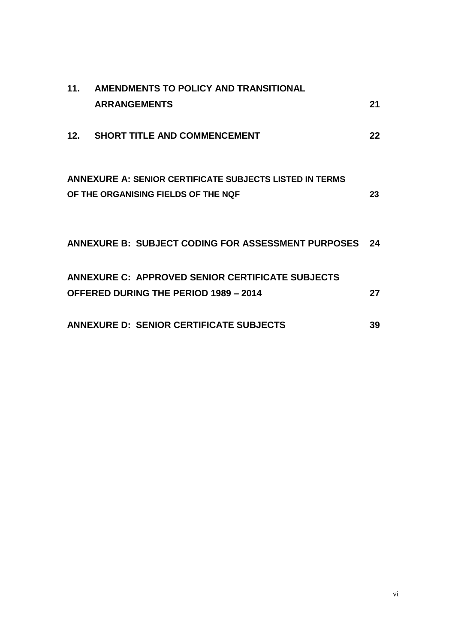| 11. AMENDMENTS TO POLICY AND TRANSITIONAL                      |    |
|----------------------------------------------------------------|----|
| <b>ARRANGEMENTS</b>                                            | 21 |
| 12. SHORT TITLE AND COMMENCEMENT                               | 22 |
|                                                                |    |
| <b>ANNEXURE A: SENIOR CERTIFICATE SUBJECTS LISTED IN TERMS</b> |    |
| OF THE ORGANISING FIELDS OF THE NQF                            | 23 |
|                                                                |    |
| ANNEXURE B: SUBJECT CODING FOR ASSESSMENT PURPOSES 24          |    |
|                                                                |    |
| ANNEXURE C: APPROVED SENIOR CERTIFICATE SUBJECTS               |    |
| <b>OFFERED DURING THE PERIOD 1989 - 2014</b>                   | 27 |
| <b>ANNEXURE D: SENIOR CERTIFICATE SUBJECTS</b>                 | 39 |
|                                                                |    |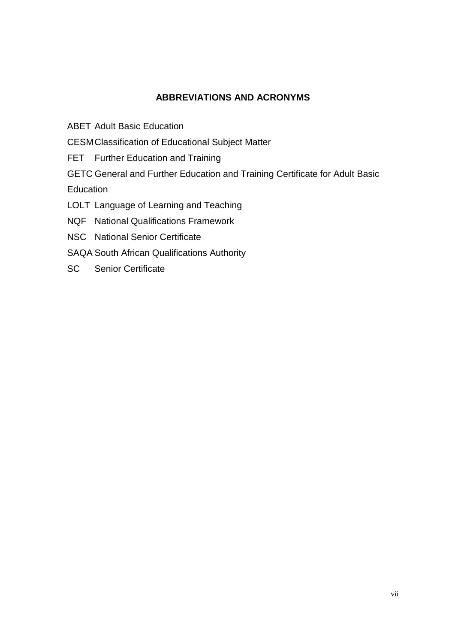### **ABBREVIATIONS AND ACRONYMS**

ABET Adult Basic Education

CESMClassification of Educational Subject Matter

FET Further Education and Training

GETC General and Further Education and Training Certificate for Adult Basic **Education** 

LOLT Language of Learning and Teaching

NQF National Qualifications Framework

- NSC National Senior Certificate
- SAQA South African Qualifications Authority
- SC Senior Certificate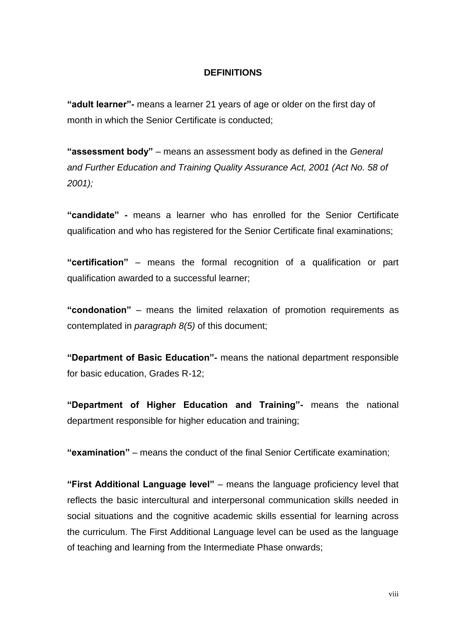#### **DEFINITIONS**

**"adult learner"-** means a learner 21 years of age or older on the first day of month in which the Senior Certificate is conducted;

**"assessment body"** – means an assessment body as defined in the *General and Further Education and Training Quality Assurance Act, 2001 (Act No. 58 of 2001);*

**"candidate" -** means a learner who has enrolled for the Senior Certificate qualification and who has registered for the Senior Certificate final examinations;

**"certification"** – means the formal recognition of a qualification or part qualification awarded to a successful learner;

**"condonation"** – means the limited relaxation of promotion requirements as contemplated in *paragraph 8(5)* of this document;

**"Department of Basic Education"-** means the national department responsible for basic education, Grades R-12;

**"Department of Higher Education and Training"-** means the national department responsible for higher education and training;

**"examination"** – means the conduct of the final Senior Certificate examination;

**"First Additional Language level"** – means the language proficiency level that reflects the basic intercultural and interpersonal communication skills needed in social situations and the cognitive academic skills essential for learning across the curriculum. The First Additional Language level can be used as the language of teaching and learning from the Intermediate Phase onwards;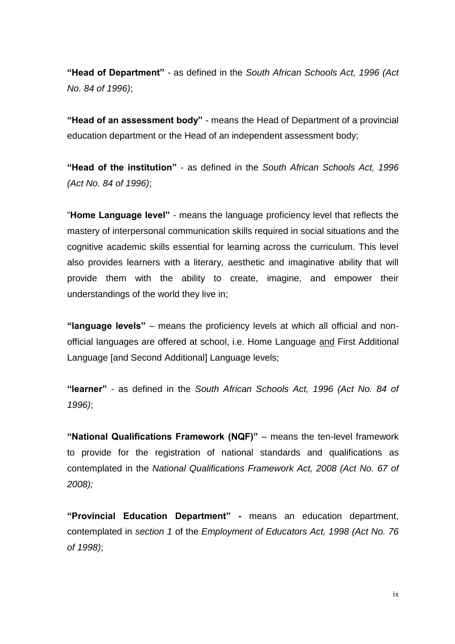**"Head of Department"** - as defined in the *South African Schools Act, 1996 (Act No. 84 of 1996)*;

**"Head of an assessment body"** - means the Head of Department of a provincial education department or the Head of an independent assessment body;

**"Head of the institution"** - as defined in the *South African Schools Act, 1996 (Act No. 84 of 1996)*;

"**Home Language level"** - means the language proficiency level that reflects the mastery of interpersonal communication skills required in social situations and the cognitive academic skills essential for learning across the curriculum. This level also provides learners with a literary, aesthetic and imaginative ability that will provide them with the ability to create, imagine, and empower their understandings of the world they live in;

**"language levels"** – means the proficiency levels at which all official and nonofficial languages are offered at school, i.e. Home Language and First Additional Language [and Second Additional] Language levels;

**"learner"** - as defined in the *South African Schools Act, 1996 (Act No. 84 of 1996)*;

**"National Qualifications Framework (NQF)"** – means the ten-level framework to provide for the registration of national standards and qualifications as contemplated in the *National Qualifications Framework Act, 2008 (Act No. 67 of 2008);*

**"Provincial Education Department" -** means an education department, contemplated in *section 1* of the *Employment of Educators Act, 1998 (Act No. 76 of 1998)*;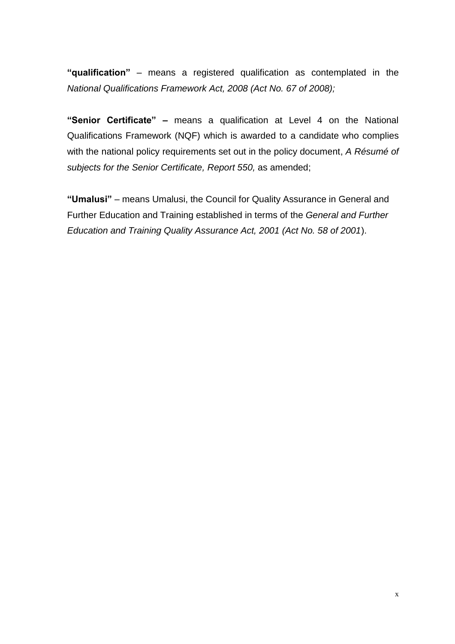**"qualification"** – means a registered qualification as contemplated in the *National Qualifications Framework Act, 2008 (Act No. 67 of 2008);*

**"Senior Certificate" –** means a qualification at Level 4 on the National Qualifications Framework (NQF) which is awarded to a candidate who complies with the national policy requirements set out in the policy document, *A Résumé of subjects for the Senior Certificate, Report 550,* as amended;

**"Umalusi"** – means Umalusi, the Council for Quality Assurance in General and Further Education and Training established in terms of the *General and Further Education and Training Quality Assurance Act, 2001 (Act No. 58 of 2001*).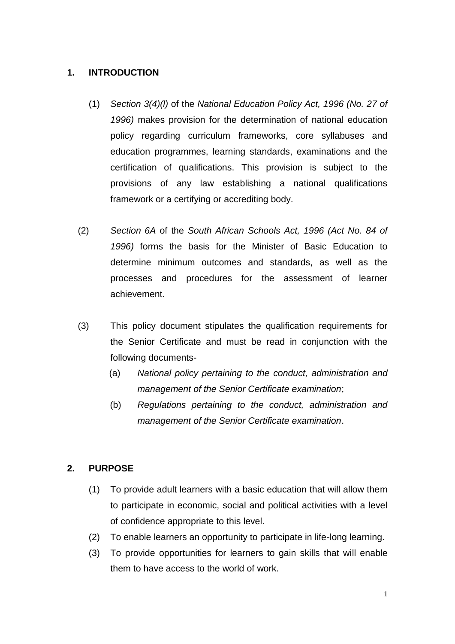#### **1. INTRODUCTION**

- (1) *Section 3(4)(l)* of the *National Education Policy Act, 1996 (No. 27 of 1996)* makes provision for the determination of national education policy regarding curriculum frameworks, core syllabuses and education programmes, learning standards, examinations and the certification of qualifications. This provision is subject to the provisions of any law establishing a national qualifications framework or a certifying or accrediting body.
- (2) *Section 6A* of the *South African Schools Act, 1996 (Act No. 84 of 1996)* forms the basis for the Minister of Basic Education to determine minimum outcomes and standards, as well as the processes and procedures for the assessment of learner achievement.
- (3) This policy document stipulates the qualification requirements for the Senior Certificate and must be read in conjunction with the following documents-
	- (a) *National policy pertaining to the conduct, administration and management of the Senior Certificate examination*;
	- (b) *Regulations pertaining to the conduct, administration and management of the Senior Certificate examination*.

### **2. PURPOSE**

- (1) To provide adult learners with a basic education that will allow them to participate in economic, social and political activities with a level of confidence appropriate to this level.
- (2) To enable learners an opportunity to participate in life-long learning.
- (3) To provide opportunities for learners to gain skills that will enable them to have access to the world of work.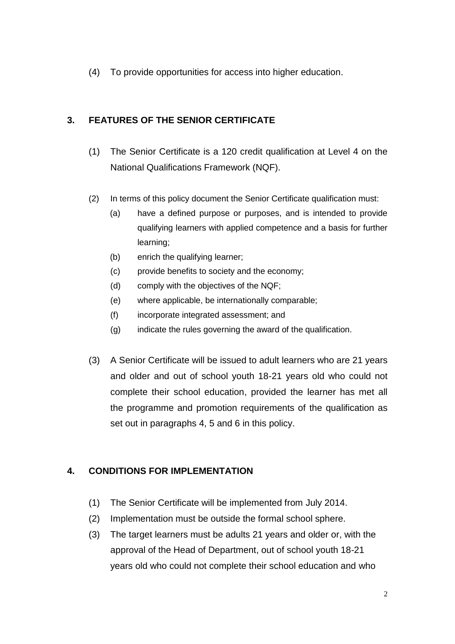(4) To provide opportunities for access into higher education.

## **3. FEATURES OF THE SENIOR CERTIFICATE**

- (1) The Senior Certificate is a 120 credit qualification at Level 4 on the National Qualifications Framework (NQF).
- (2) In terms of this policy document the Senior Certificate qualification must:
	- (a) have a defined purpose or purposes, and is intended to provide qualifying learners with applied competence and a basis for further learning;
	- (b) enrich the qualifying learner;
	- (c) provide benefits to society and the economy;
	- (d) comply with the objectives of the NQF;
	- (e) where applicable, be internationally comparable;
	- (f) incorporate integrated assessment; and
	- (g) indicate the rules governing the award of the qualification.
- (3) A Senior Certificate will be issued to adult learners who are 21 years and older and out of school youth 18-21 years old who could not complete their school education, provided the learner has met all the programme and promotion requirements of the qualification as set out in paragraphs 4, 5 and 6 in this policy.

## **4. CONDITIONS FOR IMPLEMENTATION**

- (1) The Senior Certificate will be implemented from July 2014.
- (2) Implementation must be outside the formal school sphere.
- (3) The target learners must be adults 21 years and older or, with the approval of the Head of Department, out of school youth 18-21 years old who could not complete their school education and who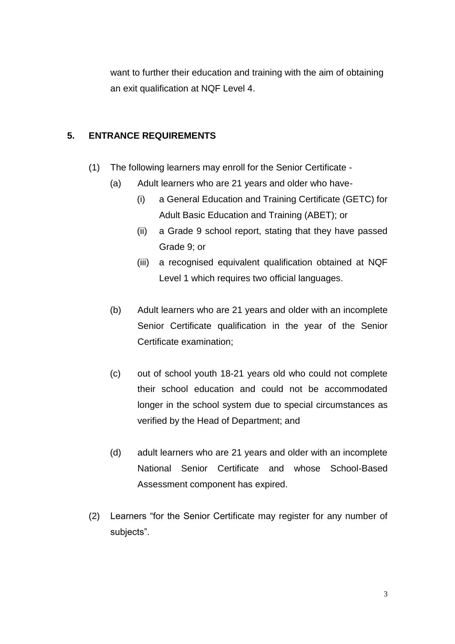want to further their education and training with the aim of obtaining an exit qualification at NQF Level 4.

### **5. ENTRANCE REQUIREMENTS**

- (1) The following learners may enroll for the Senior Certificate
	- (a) Adult learners who are 21 years and older who have-
		- (i) a General Education and Training Certificate (GETC) for Adult Basic Education and Training (ABET); or
		- (ii) a Grade 9 school report, stating that they have passed Grade 9; or
		- (iii) a recognised equivalent qualification obtained at NQF Level 1 which requires two official languages.
	- (b) Adult learners who are 21 years and older with an incomplete Senior Certificate qualification in the year of the Senior Certificate examination;
	- (c) out of school youth 18-21 years old who could not complete their school education and could not be accommodated longer in the school system due to special circumstances as verified by the Head of Department; and
	- (d) adult learners who are 21 years and older with an incomplete National Senior Certificate and whose School-Based Assessment component has expired.
- (2) Learners "for the Senior Certificate may register for any number of subjects".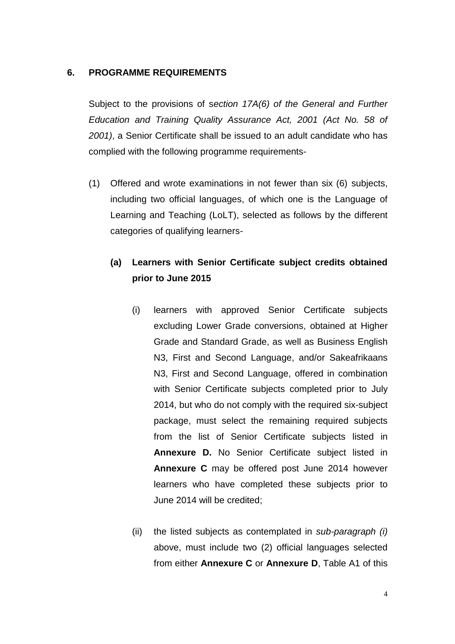#### **6. PROGRAMME REQUIREMENTS**

Subject to the provisions of s*ection 17A(6) of the General and Further Education and Training Quality Assurance Act, 2001 (Act No. 58 of 2001)*, a Senior Certificate shall be issued to an adult candidate who has complied with the following programme requirements-

(1) Offered and wrote examinations in not fewer than six (6) subjects, including two official languages, of which one is the Language of Learning and Teaching (LoLT), selected as follows by the different categories of qualifying learners-

## **(a) Learners with Senior Certificate subject credits obtained prior to June 2015**

- (i) learners with approved Senior Certificate subjects excluding Lower Grade conversions, obtained at Higher Grade and Standard Grade, as well as Business English N3, First and Second Language, and/or Sakeafrikaans N3, First and Second Language, offered in combination with Senior Certificate subjects completed prior to July 2014, but who do not comply with the required six-subject package, must select the remaining required subjects from the list of Senior Certificate subjects listed in **Annexure D.** No Senior Certificate subject listed in **Annexure C** may be offered post June 2014 however learners who have completed these subjects prior to June 2014 will be credited;
- (ii) the listed subjects as contemplated in *sub-paragraph (i)* above, must include two (2) official languages selected from either **Annexure C** or **Annexure D**, Table A1 of this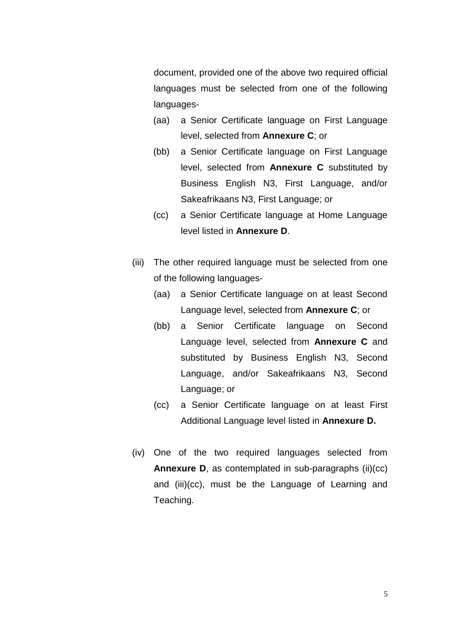document, provided one of the above two required official languages must be selected from one of the following languages-

- (aa) a Senior Certificate language on First Language level, selected from **Annexure C**; or
- (bb) a Senior Certificate language on First Language level, selected from **Annexure C** substituted by Business English N3, First Language, and/or Sakeafrikaans N3, First Language; or
- (cc) a Senior Certificate language at Home Language level listed in **Annexure D**.
- (iii) The other required language must be selected from one of the following languages-
	- (aa) a Senior Certificate language on at least Second Language level, selected from **Annexure C**; or
	- (bb) a Senior Certificate language on Second Language level, selected from **Annexure C** and substituted by Business English N3, Second Language, and/or Sakeafrikaans N3, Second Language; or
	- (cc) a Senior Certificate language on at least First Additional Language level listed in **Annexure D.**
- (iv) One of the two required languages selected from **Annexure D**, as contemplated in sub-paragraphs (ii)(cc) and (iii)(cc), must be the Language of Learning and Teaching.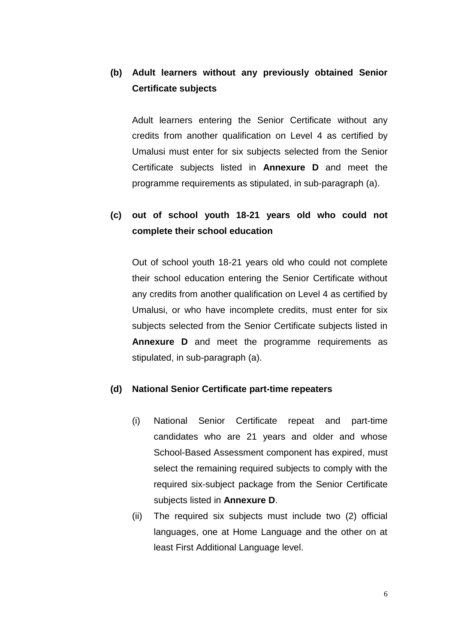## **(b) Adult learners without any previously obtained Senior Certificate subjects**

Adult learners entering the Senior Certificate without any credits from another qualification on Level 4 as certified by Umalusi must enter for six subjects selected from the Senior Certificate subjects listed in **Annexure D** and meet the programme requirements as stipulated, in sub-paragraph (a).

## **(c) out of school youth 18-21 years old who could not complete their school education**

Out of school youth 18-21 years old who could not complete their school education entering the Senior Certificate without any credits from another qualification on Level 4 as certified by Umalusi, or who have incomplete credits, must enter for six subjects selected from the Senior Certificate subjects listed in **Annexure D** and meet the programme requirements as stipulated, in sub-paragraph (a).

#### **(d) National Senior Certificate part-time repeaters**

- (i) National Senior Certificate repeat and part-time candidates who are 21 years and older and whose School-Based Assessment component has expired, must select the remaining required subjects to comply with the required six-subject package from the Senior Certificate subjects listed in **Annexure D**.
- (ii) The required six subjects must include two (2) official languages, one at Home Language and the other on at least First Additional Language level.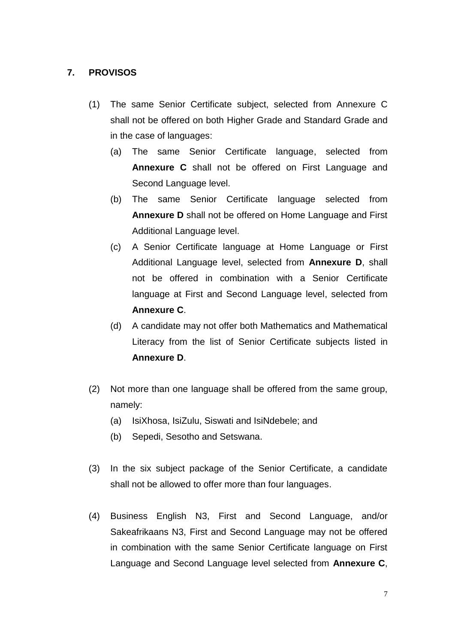#### **7. PROVISOS**

- (1) The same Senior Certificate subject, selected from Annexure C shall not be offered on both Higher Grade and Standard Grade and in the case of languages:
	- (a) The same Senior Certificate language, selected from **Annexure C** shall not be offered on First Language and Second Language level.
	- (b) The same Senior Certificate language selected from **Annexure D** shall not be offered on Home Language and First Additional Language level.
	- (c) A Senior Certificate language at Home Language or First Additional Language level, selected from **Annexure D**, shall not be offered in combination with a Senior Certificate language at First and Second Language level, selected from **Annexure C**.
	- (d) A candidate may not offer both Mathematics and Mathematical Literacy from the list of Senior Certificate subjects listed in **Annexure D**.
- (2) Not more than one language shall be offered from the same group, namely:
	- (a) IsiXhosa, IsiZulu, Siswati and IsiNdebele; and
	- (b) Sepedi, Sesotho and Setswana.
- (3) In the six subject package of the Senior Certificate, a candidate shall not be allowed to offer more than four languages.
- (4) Business English N3, First and Second Language, and/or Sakeafrikaans N3, First and Second Language may not be offered in combination with the same Senior Certificate language on First Language and Second Language level selected from **Annexure C**,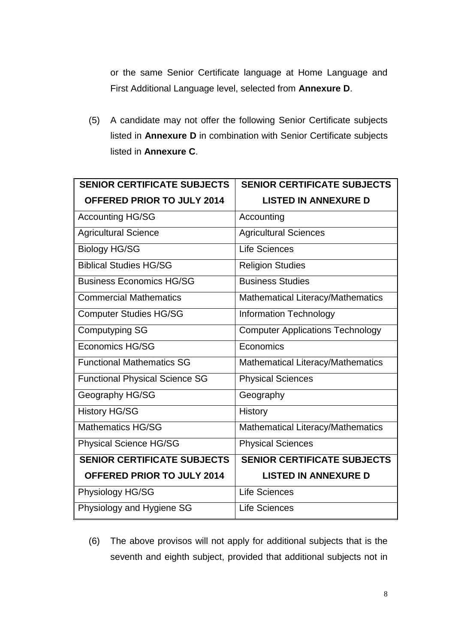or the same Senior Certificate language at Home Language and First Additional Language level, selected from **Annexure D**.

(5) A candidate may not offer the following Senior Certificate subjects listed in **Annexure D** in combination with Senior Certificate subjects listed in **Annexure C**.

| <b>SENIOR CERTIFICATE SUBJECTS</b>    | <b>SENIOR CERTIFICATE SUBJECTS</b>      |
|---------------------------------------|-----------------------------------------|
| <b>OFFERED PRIOR TO JULY 2014</b>     | <b>LISTED IN ANNEXURE D</b>             |
| <b>Accounting HG/SG</b>               | Accounting                              |
| <b>Agricultural Science</b>           | <b>Agricultural Sciences</b>            |
| <b>Biology HG/SG</b>                  | <b>Life Sciences</b>                    |
| <b>Biblical Studies HG/SG</b>         | <b>Religion Studies</b>                 |
| <b>Business Economics HG/SG</b>       | <b>Business Studies</b>                 |
| <b>Commercial Mathematics</b>         | Mathematical Literacy/Mathematics       |
| <b>Computer Studies HG/SG</b>         | <b>Information Technology</b>           |
| <b>Computyping SG</b>                 | <b>Computer Applications Technology</b> |
| <b>Economics HG/SG</b>                | Economics                               |
| <b>Functional Mathematics SG</b>      | Mathematical Literacy/Mathematics       |
| <b>Functional Physical Science SG</b> | <b>Physical Sciences</b>                |
| Geography HG/SG                       | Geography                               |
| <b>History HG/SG</b>                  | <b>History</b>                          |
| <b>Mathematics HG/SG</b>              | Mathematical Literacy/Mathematics       |
| <b>Physical Science HG/SG</b>         | <b>Physical Sciences</b>                |
| <b>SENIOR CERTIFICATE SUBJECTS</b>    | <b>SENIOR CERTIFICATE SUBJECTS</b>      |
| <b>OFFERED PRIOR TO JULY 2014</b>     | <b>LISTED IN ANNEXURE D</b>             |
| Physiology HG/SG                      | <b>Life Sciences</b>                    |
| Physiology and Hygiene SG             | <b>Life Sciences</b>                    |

(6) The above provisos will not apply for additional subjects that is the seventh and eighth subject, provided that additional subjects not in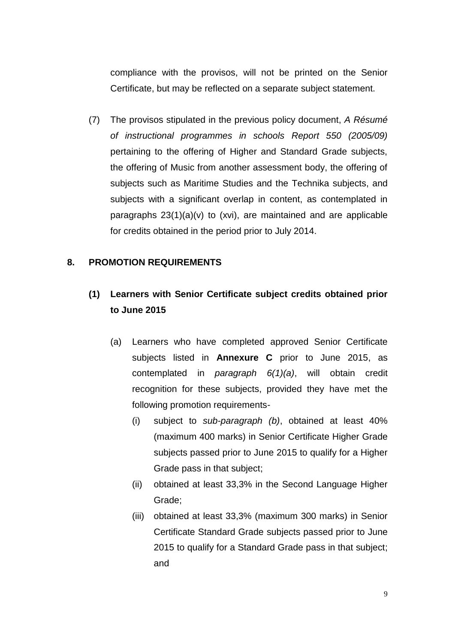compliance with the provisos, will not be printed on the Senior Certificate, but may be reflected on a separate subject statement.

(7) The provisos stipulated in the previous policy document, *A Résumé of instructional programmes in schools Report 550 (2005/09)* pertaining to the offering of Higher and Standard Grade subjects, the offering of Music from another assessment body, the offering of subjects such as Maritime Studies and the Technika subjects, and subjects with a significant overlap in content, as contemplated in paragraphs 23(1)(a)(v) to (xvi), are maintained and are applicable for credits obtained in the period prior to July 2014.

#### **8. PROMOTION REQUIREMENTS**

## **(1) Learners with Senior Certificate subject credits obtained prior to June 2015**

- (a) Learners who have completed approved Senior Certificate subjects listed in **Annexure C** prior to June 2015, as contemplated in *paragraph 6(1)(a)*, will obtain credit recognition for these subjects, provided they have met the following promotion requirements-
	- (i) subject to *sub-paragraph (b)*, obtained at least 40% (maximum 400 marks) in Senior Certificate Higher Grade subjects passed prior to June 2015 to qualify for a Higher Grade pass in that subject;
	- (ii) obtained at least 33,3% in the Second Language Higher Grade;
	- (iii) obtained at least 33,3% (maximum 300 marks) in Senior Certificate Standard Grade subjects passed prior to June 2015 to qualify for a Standard Grade pass in that subject; and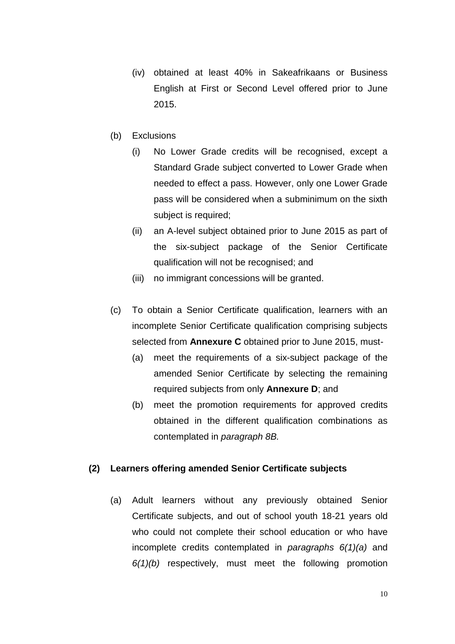- (iv) obtained at least 40% in Sakeafrikaans or Business English at First or Second Level offered prior to June 2015.
- (b) Exclusions
	- (i) No Lower Grade credits will be recognised, except a Standard Grade subject converted to Lower Grade when needed to effect a pass. However, only one Lower Grade pass will be considered when a subminimum on the sixth subject is required;
	- (ii) an A-level subject obtained prior to June 2015 as part of the six-subject package of the Senior Certificate qualification will not be recognised; and
	- (iii) no immigrant concessions will be granted.
- (c) To obtain a Senior Certificate qualification, learners with an incomplete Senior Certificate qualification comprising subjects selected from **Annexure C** obtained prior to June 2015, must-
	- (a) meet the requirements of a six-subject package of the amended Senior Certificate by selecting the remaining required subjects from only **Annexure D**; and
	- (b) meet the promotion requirements for approved credits obtained in the different qualification combinations as contemplated in *paragraph 8B.*

#### **(2) Learners offering amended Senior Certificate subjects**

(a) Adult learners without any previously obtained Senior Certificate subjects, and out of school youth 18-21 years old who could not complete their school education or who have incomplete credits contemplated in *paragraphs 6(1)(a)* and *6(1)(b)* respectively, must meet the following promotion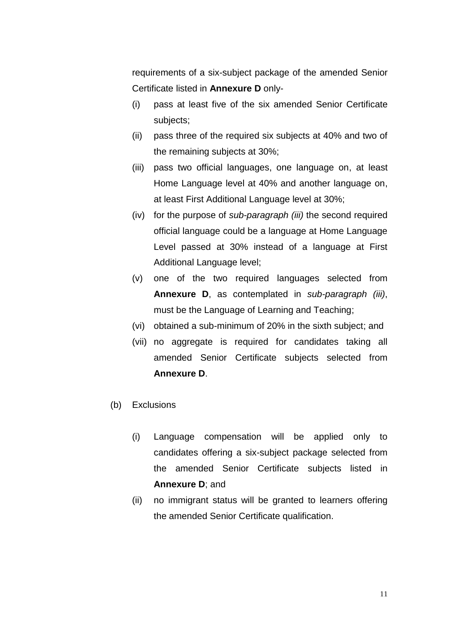requirements of a six-subject package of the amended Senior Certificate listed in **Annexure D** only-

- (i) pass at least five of the six amended Senior Certificate subjects;
- (ii) pass three of the required six subjects at 40% and two of the remaining subjects at 30%;
- (iii) pass two official languages, one language on, at least Home Language level at 40% and another language on, at least First Additional Language level at 30%;
- (iv) for the purpose of *sub-paragraph (iii)* the second required official language could be a language at Home Language Level passed at 30% instead of a language at First Additional Language level;
- (v) one of the two required languages selected from **Annexure D**, as contemplated in *sub-paragraph (iii)*, must be the Language of Learning and Teaching;
- (vi) obtained a sub-minimum of 20% in the sixth subject; and
- (vii) no aggregate is required for candidates taking all amended Senior Certificate subjects selected from **Annexure D**.
- (b) Exclusions
	- (i) Language compensation will be applied only to candidates offering a six-subject package selected from the amended Senior Certificate subjects listed in **Annexure D**; and
	- (ii) no immigrant status will be granted to learners offering the amended Senior Certificate qualification.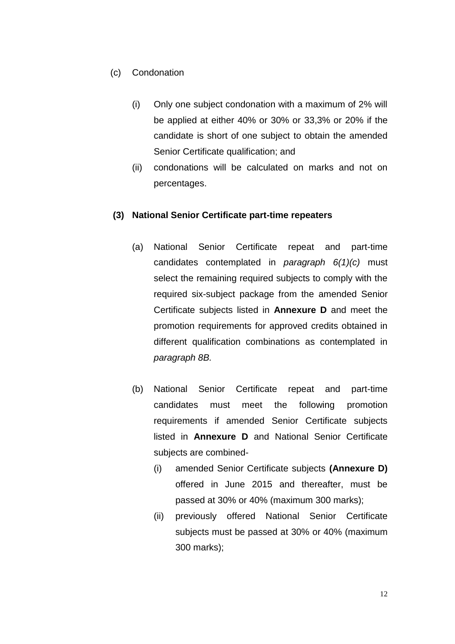### (c) Condonation

- (i) Only one subject condonation with a maximum of 2% will be applied at either 40% or 30% or 33,3% or 20% if the candidate is short of one subject to obtain the amended Senior Certificate qualification; and
- (ii) condonations will be calculated on marks and not on percentages.

#### **(3) National Senior Certificate part-time repeaters**

- (a) National Senior Certificate repeat and part-time candidates contemplated in *paragraph 6(1)(c)* must select the remaining required subjects to comply with the required six-subject package from the amended Senior Certificate subjects listed in **Annexure D** and meet the promotion requirements for approved credits obtained in different qualification combinations as contemplated in *paragraph 8B.*
- (b) National Senior Certificate repeat and part-time candidates must meet the following promotion requirements if amended Senior Certificate subjects listed in **Annexure D** and National Senior Certificate subjects are combined-
	- (i) amended Senior Certificate subjects **(Annexure D)** offered in June 2015 and thereafter, must be passed at 30% or 40% (maximum 300 marks);
	- (ii) previously offered National Senior Certificate subjects must be passed at 30% or 40% (maximum 300 marks);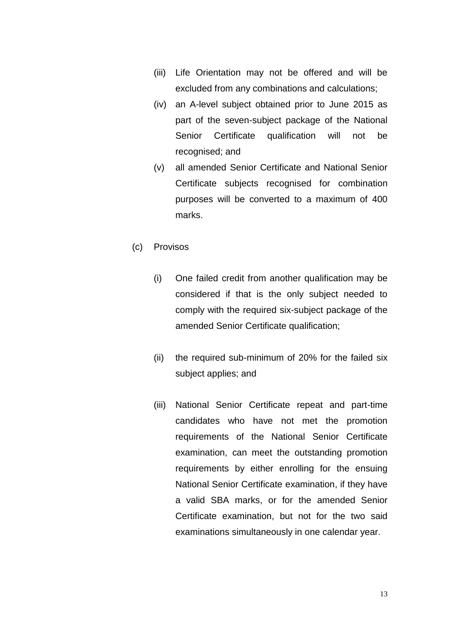- (iii) Life Orientation may not be offered and will be excluded from any combinations and calculations;
- (iv) an A-level subject obtained prior to June 2015 as part of the seven-subject package of the National Senior Certificate qualification will not be recognised; and
- (v) all amended Senior Certificate and National Senior Certificate subjects recognised for combination purposes will be converted to a maximum of 400 marks.
- (c) Provisos
	- (i) One failed credit from another qualification may be considered if that is the only subject needed to comply with the required six-subject package of the amended Senior Certificate qualification;
	- (ii) the required sub-minimum of 20% for the failed six subject applies; and
	- (iii) National Senior Certificate repeat and part-time candidates who have not met the promotion requirements of the National Senior Certificate examination, can meet the outstanding promotion requirements by either enrolling for the ensuing National Senior Certificate examination, if they have a valid SBA marks, or for the amended Senior Certificate examination, but not for the two said examinations simultaneously in one calendar year.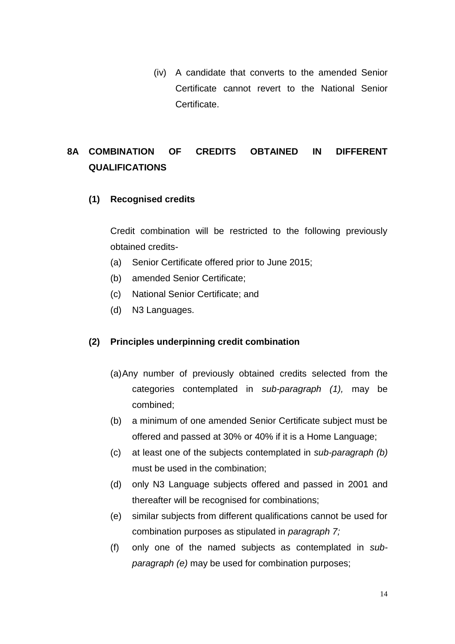(iv) A candidate that converts to the amended Senior Certificate cannot revert to the National Senior Certificate.

## **8A COMBINATION OF CREDITS OBTAINED IN DIFFERENT QUALIFICATIONS**

### **(1) Recognised credits**

Credit combination will be restricted to the following previously obtained credits-

- (a) Senior Certificate offered prior to June 2015;
- (b) amended Senior Certificate;
- (c) National Senior Certificate; and
- (d) N3 Languages.

#### **(2) Principles underpinning credit combination**

- (a)Any number of previously obtained credits selected from the categories contemplated in *sub-paragraph (1),* may be combined;
- (b) a minimum of one amended Senior Certificate subject must be offered and passed at 30% or 40% if it is a Home Language;
- (c) at least one of the subjects contemplated in *sub-paragraph (b)* must be used in the combination;
- (d) only N3 Language subjects offered and passed in 2001 and thereafter will be recognised for combinations;
- (e) similar subjects from different qualifications cannot be used for combination purposes as stipulated in *paragraph 7;*
- (f) only one of the named subjects as contemplated in *subparagraph (e)* may be used for combination purposes;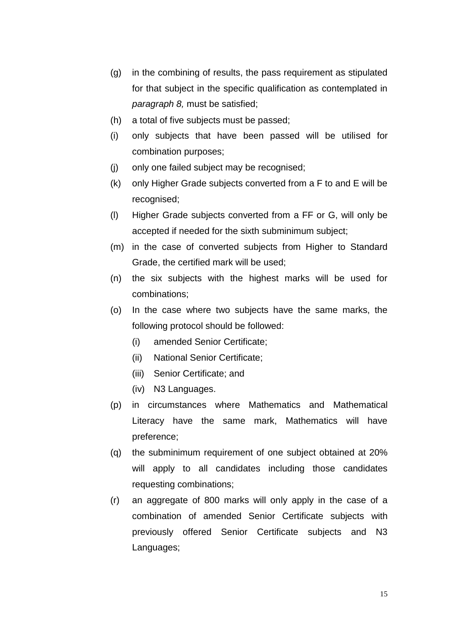- (g) in the combining of results, the pass requirement as stipulated for that subject in the specific qualification as contemplated in *paragraph 8,* must be satisfied;
- (h) a total of five subjects must be passed;
- (i) only subjects that have been passed will be utilised for combination purposes;
- (j) only one failed subject may be recognised;
- (k) only Higher Grade subjects converted from a F to and E will be recognised;
- (l) Higher Grade subjects converted from a FF or G, will only be accepted if needed for the sixth subminimum subject;
- (m) in the case of converted subjects from Higher to Standard Grade, the certified mark will be used;
- (n) the six subjects with the highest marks will be used for combinations;
- (o) In the case where two subjects have the same marks, the following protocol should be followed:
	- (i) amended Senior Certificate;
	- (ii) National Senior Certificate;
	- (iii) Senior Certificate; and
	- (iv) N3 Languages.
- (p) in circumstances where Mathematics and Mathematical Literacy have the same mark, Mathematics will have preference;
- (q) the subminimum requirement of one subject obtained at 20% will apply to all candidates including those candidates requesting combinations;
- (r) an aggregate of 800 marks will only apply in the case of a combination of amended Senior Certificate subjects with previously offered Senior Certificate subjects and N3 Languages;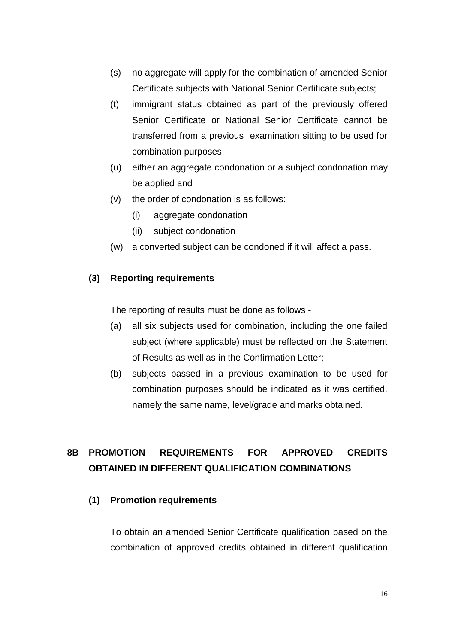- (s) no aggregate will apply for the combination of amended Senior Certificate subjects with National Senior Certificate subjects;
- (t) immigrant status obtained as part of the previously offered Senior Certificate or National Senior Certificate cannot be transferred from a previous examination sitting to be used for combination purposes;
- (u) either an aggregate condonation or a subject condonation may be applied and
- (v) the order of condonation is as follows:
	- (i) aggregate condonation
	- (ii) subject condonation
- (w) a converted subject can be condoned if it will affect a pass.

#### **(3) Reporting requirements**

The reporting of results must be done as follows -

- (a) all six subjects used for combination, including the one failed subject (where applicable) must be reflected on the Statement of Results as well as in the Confirmation Letter;
- (b) subjects passed in a previous examination to be used for combination purposes should be indicated as it was certified, namely the same name, level/grade and marks obtained.

## **8B PROMOTION REQUIREMENTS FOR APPROVED CREDITS OBTAINED IN DIFFERENT QUALIFICATION COMBINATIONS**

#### **(1) Promotion requirements**

To obtain an amended Senior Certificate qualification based on the combination of approved credits obtained in different qualification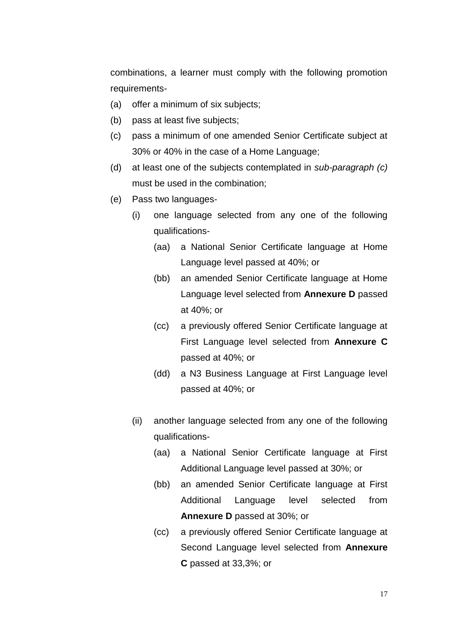combinations, a learner must comply with the following promotion requirements-

- (a) offer a minimum of six subjects;
- (b) pass at least five subjects;
- (c) pass a minimum of one amended Senior Certificate subject at 30% or 40% in the case of a Home Language;
- (d) at least one of the subjects contemplated in *sub-paragraph (c)* must be used in the combination;
- (e) Pass two languages-
	- (i) one language selected from any one of the following qualifications-
		- (aa) a National Senior Certificate language at Home Language level passed at 40%; or
		- (bb) an amended Senior Certificate language at Home Language level selected from **Annexure D** passed at 40%; or
		- (cc) a previously offered Senior Certificate language at First Language level selected from **Annexure C** passed at 40%; or
		- (dd) a N3 Business Language at First Language level passed at 40%; or
	- (ii) another language selected from any one of the following qualifications-
		- (aa) a National Senior Certificate language at First Additional Language level passed at 30%; or
		- (bb) an amended Senior Certificate language at First Additional Language level selected from **Annexure D** passed at 30%; or
		- (cc) a previously offered Senior Certificate language at Second Language level selected from **Annexure C** passed at 33,3%; or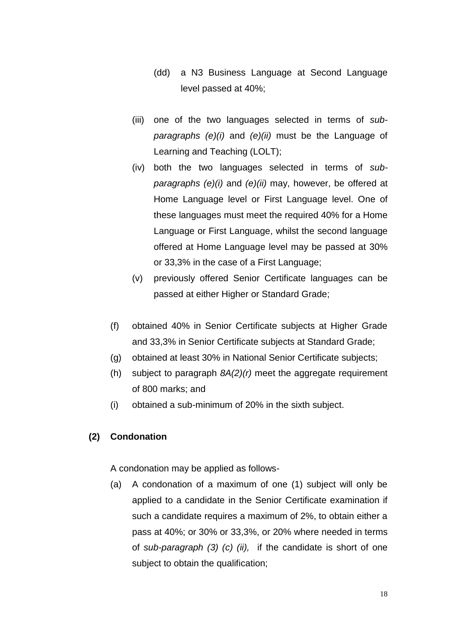- (dd) a N3 Business Language at Second Language level passed at 40%;
- (iii) one of the two languages selected in terms of *subparagraphs (e)(i)* and *(e)(ii)* must be the Language of Learning and Teaching (LOLT);
- (iv) both the two languages selected in terms of *subparagraphs (e)(i)* and *(e)(ii)* may, however, be offered at Home Language level or First Language level. One of these languages must meet the required 40% for a Home Language or First Language, whilst the second language offered at Home Language level may be passed at 30% or 33,3% in the case of a First Language;
- (v) previously offered Senior Certificate languages can be passed at either Higher or Standard Grade;
- (f) obtained 40% in Senior Certificate subjects at Higher Grade and 33,3% in Senior Certificate subjects at Standard Grade;
- (g) obtained at least 30% in National Senior Certificate subjects;
- (h) subject to paragraph *8A(2)(r)* meet the aggregate requirement of 800 marks; and
- (i) obtained a sub-minimum of 20% in the sixth subject.

#### **(2) Condonation**

A condonation may be applied as follows-

(a) A condonation of a maximum of one (1) subject will only be applied to a candidate in the Senior Certificate examination if such a candidate requires a maximum of 2%, to obtain either a pass at 40%; or 30% or 33,3%, or 20% where needed in terms of *sub-paragraph (3) (c) (ii),* if the candidate is short of one subject to obtain the qualification;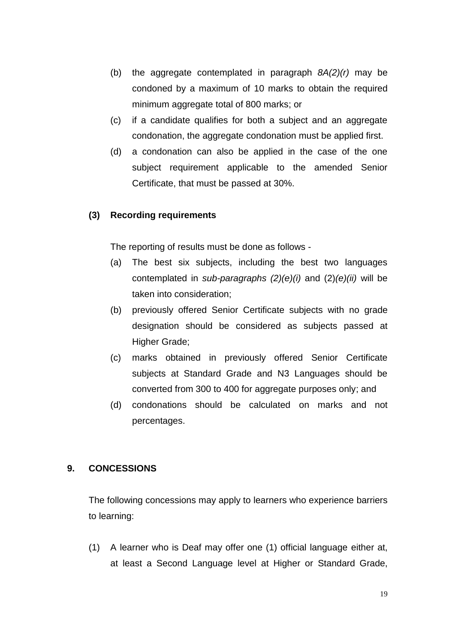- (b) the aggregate contemplated in paragraph *8A(2)(r)* may be condoned by a maximum of 10 marks to obtain the required minimum aggregate total of 800 marks; or
- (c) if a candidate qualifies for both a subject and an aggregate condonation, the aggregate condonation must be applied first.
- (d) a condonation can also be applied in the case of the one subject requirement applicable to the amended Senior Certificate, that must be passed at 30%.

#### **(3) Recording requirements**

The reporting of results must be done as follows -

- (a) The best six subjects, including the best two languages contemplated in *sub-paragraphs (2)(e)(i)* and (2)*(e)(ii)* will be taken into consideration;
- (b) previously offered Senior Certificate subjects with no grade designation should be considered as subjects passed at Higher Grade;
- (c) marks obtained in previously offered Senior Certificate subjects at Standard Grade and N3 Languages should be converted from 300 to 400 for aggregate purposes only; and
- (d) condonations should be calculated on marks and not percentages.

#### **9. CONCESSIONS**

The following concessions may apply to learners who experience barriers to learning:

(1) A learner who is Deaf may offer one (1) official language either at, at least a Second Language level at Higher or Standard Grade,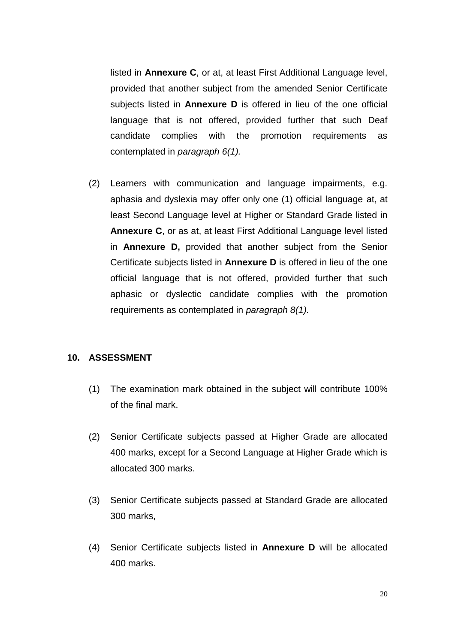listed in **Annexure C**, or at, at least First Additional Language level, provided that another subject from the amended Senior Certificate subjects listed in **Annexure D** is offered in lieu of the one official language that is not offered, provided further that such Deaf candidate complies with the promotion requirements as contemplated in *paragraph 6(1).*

(2) Learners with communication and language impairments, e.g. aphasia and dyslexia may offer only one (1) official language at, at least Second Language level at Higher or Standard Grade listed in **Annexure C**, or as at, at least First Additional Language level listed in **Annexure D,** provided that another subject from the Senior Certificate subjects listed in **Annexure D** is offered in lieu of the one official language that is not offered, provided further that such aphasic or dyslectic candidate complies with the promotion requirements as contemplated in *paragraph 8(1).*

#### **10. ASSESSMENT**

- (1) The examination mark obtained in the subject will contribute 100% of the final mark.
- (2) Senior Certificate subjects passed at Higher Grade are allocated 400 marks, except for a Second Language at Higher Grade which is allocated 300 marks.
- (3) Senior Certificate subjects passed at Standard Grade are allocated 300 marks,
- (4) Senior Certificate subjects listed in **Annexure D** will be allocated 400 marks.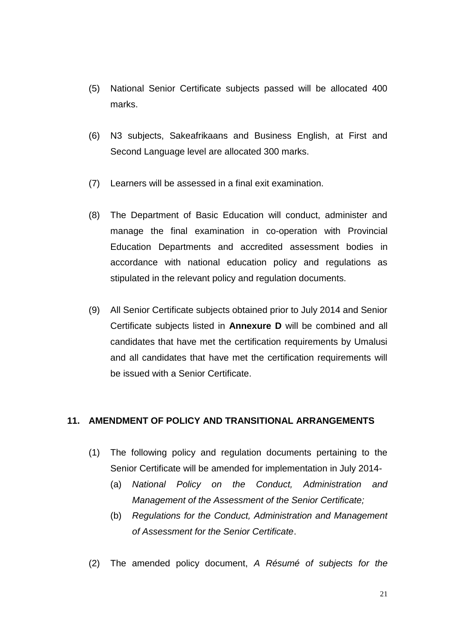- (5) National Senior Certificate subjects passed will be allocated 400 marks.
- (6) N3 subjects, Sakeafrikaans and Business English, at First and Second Language level are allocated 300 marks.
- (7) Learners will be assessed in a final exit examination.
- (8) The Department of Basic Education will conduct, administer and manage the final examination in co-operation with Provincial Education Departments and accredited assessment bodies in accordance with national education policy and regulations as stipulated in the relevant policy and regulation documents.
- (9) All Senior Certificate subjects obtained prior to July 2014 and Senior Certificate subjects listed in **Annexure D** will be combined and all candidates that have met the certification requirements by Umalusi and all candidates that have met the certification requirements will be issued with a Senior Certificate.

#### **11. AMENDMENT OF POLICY AND TRANSITIONAL ARRANGEMENTS**

- (1) The following policy and regulation documents pertaining to the Senior Certificate will be amended for implementation in July 2014-
	- (a) *National Policy on the Conduct, Administration and Management of the Assessment of the Senior Certificate;*
	- (b) *Regulations for the Conduct, Administration and Management of Assessment for the Senior Certificate*.
- (2) The amended policy document, *A Résumé of subjects for the*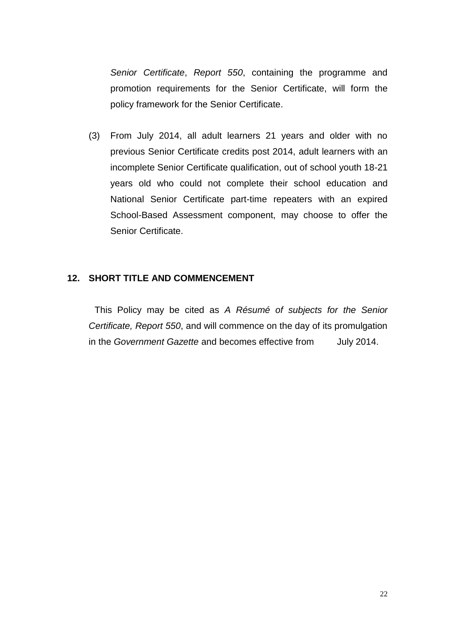*Senior Certificate*, *Report 550*, containing the programme and promotion requirements for the Senior Certificate, will form the policy framework for the Senior Certificate.

(3) From July 2014, all adult learners 21 years and older with no previous Senior Certificate credits post 2014, adult learners with an incomplete Senior Certificate qualification, out of school youth 18-21 years old who could not complete their school education and National Senior Certificate part-time repeaters with an expired School-Based Assessment component, may choose to offer the Senior Certificate.

#### **12. SHORT TITLE AND COMMENCEMENT**

This Policy may be cited as *A Résumé of subjects for the Senior Certificate, Report 550*, and will commence on the day of its promulgation in the *Government Gazette* and becomes effective from July 2014.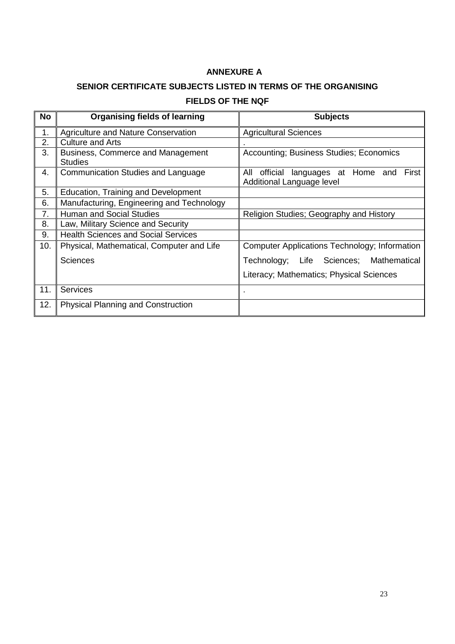#### **ANNEXURE A**

## **SENIOR CERTIFICATE SUBJECTS LISTED IN TERMS OF THE ORGANISING FIELDS OF THE NQF**

| <b>No</b> | <b>Organising fields of learning</b>                | <b>Subjects</b>                                                                  |
|-----------|-----------------------------------------------------|----------------------------------------------------------------------------------|
| 1.        | Agriculture and Nature Conservation                 | <b>Agricultural Sciences</b>                                                     |
| 2.        | <b>Culture and Arts</b>                             |                                                                                  |
| 3.        | Business, Commerce and Management<br><b>Studies</b> | Accounting; Business Studies; Economics                                          |
| 4.        | Communication Studies and Language                  | languages at Home and<br>All<br>official<br>First I<br>Additional Language level |
| 5.        | Education, Training and Development                 |                                                                                  |
| 6.        | Manufacturing, Engineering and Technology           |                                                                                  |
| 7.        | <b>Human and Social Studies</b>                     | Religion Studies; Geography and History                                          |
| 8.        | Law, Military Science and Security                  |                                                                                  |
| 9.        | <b>Health Sciences and Social Services</b>          |                                                                                  |
| 10.       | Physical, Mathematical, Computer and Life           | Computer Applications Technology; Information                                    |
|           | <b>Sciences</b>                                     | Technology; Life Sciences; Mathematical                                          |
|           |                                                     | Literacy; Mathematics; Physical Sciences                                         |
| 11.       | <b>Services</b>                                     |                                                                                  |
| 12.       | <b>Physical Planning and Construction</b>           |                                                                                  |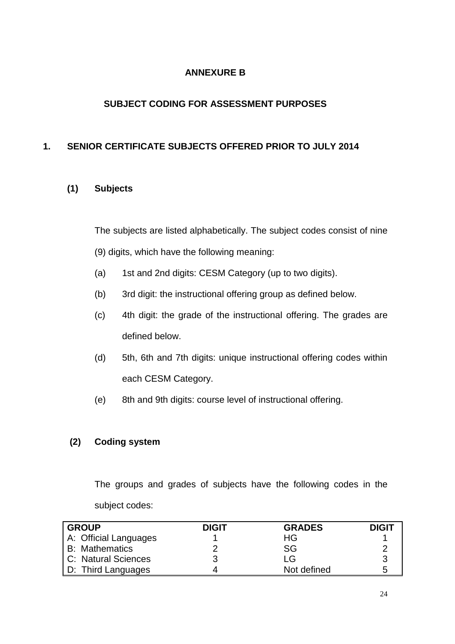### **ANNEXURE B**

### **SUBJECT CODING FOR ASSESSMENT PURPOSES**

### **1. SENIOR CERTIFICATE SUBJECTS OFFERED PRIOR TO JULY 2014**

### **(1) Subjects**

The subjects are listed alphabetically. The subject codes consist of nine

- (9) digits, which have the following meaning:
- (a) 1st and 2nd digits: CESM Category (up to two digits).
- (b) 3rd digit: the instructional offering group as defined below.
- (c) 4th digit: the grade of the instructional offering. The grades are defined below.
- (d) 5th, 6th and 7th digits: unique instructional offering codes within each CESM Category.
- (e) 8th and 9th digits: course level of instructional offering.

#### **(2) Coding system**

The groups and grades of subjects have the following codes in the subject codes:

| l GROUP               | <b>DIGIT</b> | <b>GRADES</b> | <b>DIGIT</b> |
|-----------------------|--------------|---------------|--------------|
| A: Official Languages |              | ΗG            |              |
| <b>B: Mathematics</b> |              | <b>SG</b>     |              |
| C: Natural Sciences   |              | LG            |              |
| D: Third Languages    |              | Not defined   |              |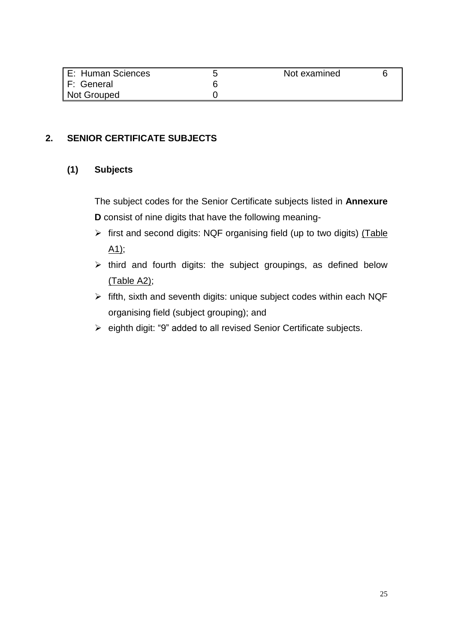| E: Human Sciences | Not examined |  |
|-------------------|--------------|--|
| F: General        |              |  |
| Not Grouped       |              |  |

### **2. SENIOR CERTIFICATE SUBJECTS**

#### **(1) Subjects**

The subject codes for the Senior Certificate subjects listed in **Annexure D** consist of nine digits that have the following meaning-

- $\triangleright$  first and second digits: NQF organising field (up to two digits) (Table  $A1$ ;
- $\triangleright$  third and fourth digits: the subject groupings, as defined below (Table A2);
- $\triangleright$  fifth, sixth and seventh digits: unique subject codes within each NQF organising field (subject grouping); and
- eighth digit: "9" added to all revised Senior Certificate subjects.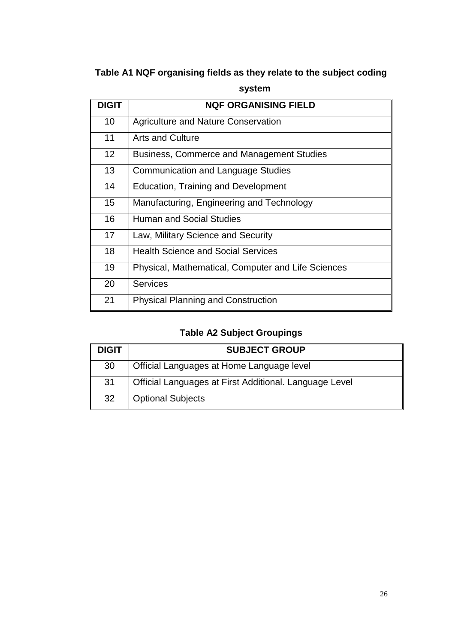## **Table A1 NQF organising fields as they relate to the subject coding**

| <b>DIGIT</b>    | <b>NQF ORGANISING FIELD</b>                        |
|-----------------|----------------------------------------------------|
| 10              | <b>Agriculture and Nature Conservation</b>         |
| 11              | <b>Arts and Culture</b>                            |
| 12 <sup>2</sup> | <b>Business, Commerce and Management Studies</b>   |
| 13              | <b>Communication and Language Studies</b>          |
| 14              | <b>Education, Training and Development</b>         |
| 15              | Manufacturing, Engineering and Technology          |
| 16              | <b>Human and Social Studies</b>                    |
| 17              | Law, Military Science and Security                 |
| 18              | <b>Health Science and Social Services</b>          |
| 19              | Physical, Mathematical, Computer and Life Sciences |
| 20              | <b>Services</b>                                    |
| 21              | <b>Physical Planning and Construction</b>          |

### **system**

## **Table A2 Subject Groupings**

| <b>DIGIT</b> | <b>SUBJECT GROUP</b>                                   |
|--------------|--------------------------------------------------------|
| 30           | Official Languages at Home Language level              |
| 31           | Official Languages at First Additional. Language Level |
| 32           | <b>Optional Subjects</b>                               |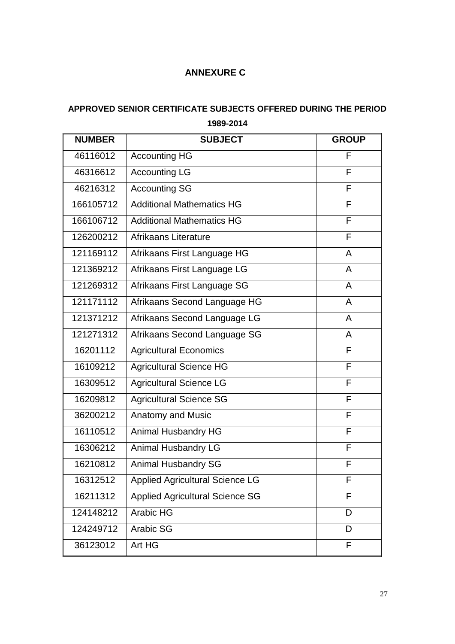## **ANNEXURE C**

## **APPROVED SENIOR CERTIFICATE SUBJECTS OFFERED DURING THE PERIOD 1989-2014**

| <b>NUMBER</b> | <b>SUBJECT</b>                         | <b>GROUP</b>   |
|---------------|----------------------------------------|----------------|
| 46116012      | <b>Accounting HG</b>                   | F              |
| 46316612      | <b>Accounting LG</b>                   | F              |
| 46216312      | <b>Accounting SG</b>                   | F              |
| 166105712     | <b>Additional Mathematics HG</b>       | F              |
| 166106712     | <b>Additional Mathematics HG</b>       | F              |
| 126200212     | Afrikaans Literature                   | F              |
| 121169112     | Afrikaans First Language HG            | $\mathsf{A}$   |
| 121369212     | Afrikaans First Language LG            | $\mathsf{A}$   |
| 121269312     | Afrikaans First Language SG            | $\overline{A}$ |
| 121171112     | Afrikaans Second Language HG           | $\overline{A}$ |
| 121371212     | Afrikaans Second Language LG           | $\overline{A}$ |
| 121271312     | Afrikaans Second Language SG           | A              |
| 16201112      | <b>Agricultural Economics</b>          | F              |
| 16109212      | Agricultural Science HG                | F              |
| 16309512      | <b>Agricultural Science LG</b>         | F              |
| 16209812      | <b>Agricultural Science SG</b>         | F              |
| 36200212      | Anatomy and Music                      | F              |
| 16110512      | Animal Husbandry HG                    | F              |
| 16306212      | Animal Husbandry LG                    | F              |
| 16210812      | <b>Animal Husbandry SG</b>             | F              |
| 16312512      | <b>Applied Agricultural Science LG</b> | F              |
| 16211312      | <b>Applied Agricultural Science SG</b> | F              |
| 124148212     | Arabic HG                              | D              |
| 124249712     | Arabic SG                              | D              |
| 36123012      | Art HG                                 | F              |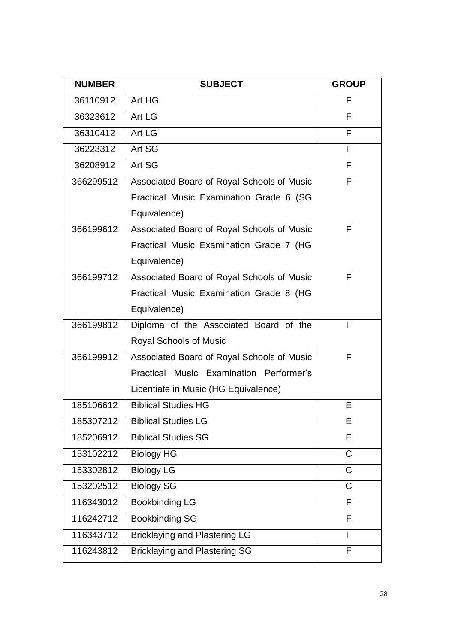| <b>NUMBER</b> | <b>SUBJECT</b>                             | <b>GROUP</b> |
|---------------|--------------------------------------------|--------------|
| 36110912      | Art HG                                     | F            |
| 36323612      | Art LG                                     | F            |
| 36310412      | Art LG                                     | F            |
| 36223312      | Art SG                                     | F            |
| 36208912      | Art SG                                     | F            |
| 366299512     | Associated Board of Royal Schools of Music | F            |
|               | Practical Music Examination Grade 6 (SG    |              |
|               | Equivalence)                               |              |
| 366199612     | Associated Board of Royal Schools of Music | F            |
|               | Practical Music Examination Grade 7 (HG    |              |
|               | Equivalence)                               |              |
| 366199712     | Associated Board of Royal Schools of Music | F            |
|               | Practical Music Examination Grade 8 (HG    |              |
|               | Equivalence)                               |              |
| 366199812     | Diploma of the Associated Board of the     | F            |
|               | Royal Schools of Music                     |              |
| 366199912     | Associated Board of Royal Schools of Music | F            |
|               | Practical Music Examination Performer's    |              |
|               | Licentiate in Music (HG Equivalence)       |              |
| 185106612     | <b>Biblical Studies HG</b>                 | Е            |
| 185307212     | <b>Biblical Studies LG</b>                 | E.           |
| 185206912     | <b>Biblical Studies SG</b>                 | E            |
| 153102212     | <b>Biology HG</b>                          | C            |
| 153302812     | <b>Biology LG</b>                          | C            |
| 153202512     | <b>Biology SG</b>                          | C            |
| 116343012     | <b>Bookbinding LG</b>                      | F            |
| 116242712     | <b>Bookbinding SG</b>                      | F            |
| 116343712     | <b>Bricklaying and Plastering LG</b>       | F            |
| 116243812     | <b>Bricklaying and Plastering SG</b>       | F            |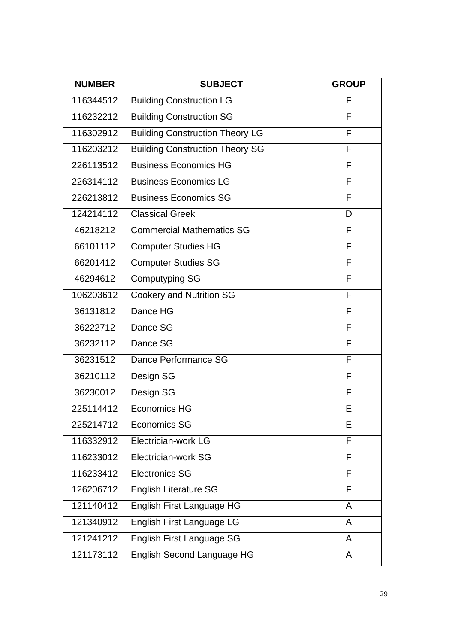| <b>NUMBER</b> | <b>SUBJECT</b>                         | <b>GROUP</b> |
|---------------|----------------------------------------|--------------|
| 116344512     | <b>Building Construction LG</b>        | F            |
| 116232212     | <b>Building Construction SG</b>        | F            |
| 116302912     | <b>Building Construction Theory LG</b> | F            |
| 116203212     | <b>Building Construction Theory SG</b> | F            |
| 226113512     | <b>Business Economics HG</b>           | F            |
| 226314112     | <b>Business Economics LG</b>           | F            |
| 226213812     | <b>Business Economics SG</b>           | F            |
| 124214112     | <b>Classical Greek</b>                 | D            |
| 46218212      | <b>Commercial Mathematics SG</b>       | F            |
| 66101112      | <b>Computer Studies HG</b>             | F            |
| 66201412      | <b>Computer Studies SG</b>             | F            |
| 46294612      | <b>Computyping SG</b>                  | F            |
| 106203612     | <b>Cookery and Nutrition SG</b>        | F            |
| 36131812      | Dance HG                               | F            |
| 36222712      | Dance SG                               | F            |
| 36232112      | Dance SG                               | F            |
| 36231512      | Dance Performance SG                   | F            |
| 36210112      | Design SG                              | F            |
| 36230012      | Design SG                              | F            |
| 225114412     | <b>Economics HG</b>                    | Е            |
| 225214712     | <b>Economics SG</b>                    | Е            |
| 116332912     | Electrician-work LG                    | F            |
| 116233012     | Electrician-work SG                    | F            |
| 116233412     | <b>Electronics SG</b>                  | F            |
| 126206712     | <b>English Literature SG</b>           | F            |
| 121140412     | English First Language HG              | A            |
| 121340912     | English First Language LG              | A            |
| 121241212     | English First Language SG              | A            |
| 121173112     | English Second Language HG             | A            |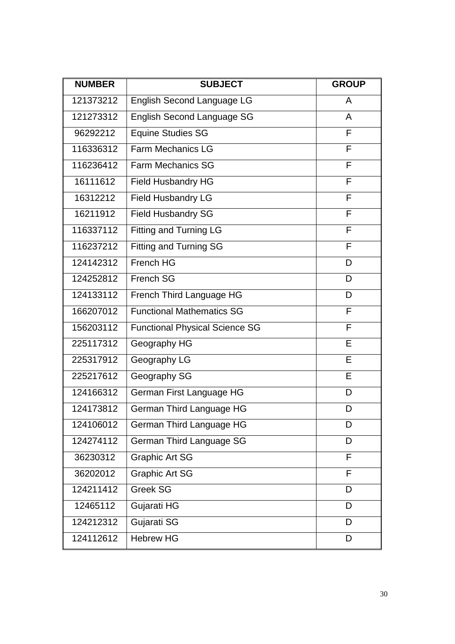| <b>NUMBER</b> | <b>SUBJECT</b>                        | <b>GROUP</b> |
|---------------|---------------------------------------|--------------|
| 121373212     | English Second Language LG            | A            |
| 121273312     | <b>English Second Language SG</b>     | A            |
| 96292212      | <b>Equine Studies SG</b>              | F            |
| 116336312     | <b>Farm Mechanics LG</b>              | F            |
| 116236412     | <b>Farm Mechanics SG</b>              | F            |
| 16111612      | <b>Field Husbandry HG</b>             | F            |
| 16312212      | Field Husbandry LG                    | F            |
| 16211912      | <b>Field Husbandry SG</b>             | F            |
| 116337112     | <b>Fitting and Turning LG</b>         | F            |
| 116237212     | <b>Fitting and Turning SG</b>         | F            |
| 124142312     | French HG                             | D            |
| 124252812     | French SG                             | D            |
| 124133112     | French Third Language HG              | D            |
| 166207012     | <b>Functional Mathematics SG</b>      | F            |
| 156203112     | <b>Functional Physical Science SG</b> | F            |
| 225117312     | Geography HG                          | E            |
| 225317912     | Geography LG                          | E            |
| 225217612     | Geography SG                          | Е            |
| 124166312     | German First Language HG              | D            |
| 124173812     | German Third Language HG              | D            |
| 124106012     | German Third Language HG              | D            |
| 124274112     | German Third Language SG              | D            |
| 36230312      | <b>Graphic Art SG</b>                 | F            |
| 36202012      | <b>Graphic Art SG</b>                 | F            |
| 124211412     | <b>Greek SG</b>                       | D            |
| 12465112      | Gujarati HG                           | D            |
| 124212312     | Gujarati SG                           | D            |
| 124112612     | <b>Hebrew HG</b>                      | D            |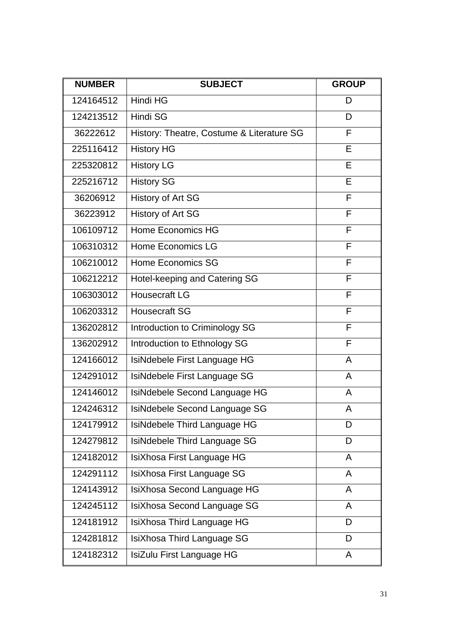| <b>NUMBER</b> | <b>SUBJECT</b>                            | <b>GROUP</b> |
|---------------|-------------------------------------------|--------------|
| 124164512     | Hindi HG                                  | D            |
| 124213512     | <b>Hindi SG</b>                           | D            |
| 36222612      | History: Theatre, Costume & Literature SG | F            |
| 225116412     | <b>History HG</b>                         | Е            |
| 225320812     | <b>History LG</b>                         | Е            |
| 225216712     | <b>History SG</b>                         | E            |
| 36206912      | <b>History of Art SG</b>                  | F            |
| 36223912      | <b>History of Art SG</b>                  | F            |
| 106109712     | Home Economics HG                         | F            |
| 106310312     | Home Economics LG                         | F            |
| 106210012     | Home Economics SG                         | F            |
| 106212212     | Hotel-keeping and Catering SG             | F            |
| 106303012     | Housecraft LG                             | F            |
| 106203312     | <b>Housecraft SG</b>                      | F            |
| 136202812     | Introduction to Criminology SG            | F            |
| 136202912     | Introduction to Ethnology SG              | F            |
| 124166012     | IsiNdebele First Language HG              | A            |
| 124291012     | IsiNdebele First Language SG              | A            |
| 124146012     | IsiNdebele Second Language HG             | A            |
| 124246312     | IsiNdebele Second Language SG             | A            |
| 124179912     | IsiNdebele Third Language HG              | D            |
| 124279812     | IsiNdebele Third Language SG              | D            |
| 124182012     | IsiXhosa First Language HG                | A            |
| 124291112     | IsiXhosa First Language SG                | A            |
| 124143912     | IsiXhosa Second Language HG               | A            |
| 124245112     | IsiXhosa Second Language SG               | A            |
| 124181912     | IsiXhosa Third Language HG                | D            |
| 124281812     | IsiXhosa Third Language SG                | D            |
| 124182312     | IsiZulu First Language HG                 | A            |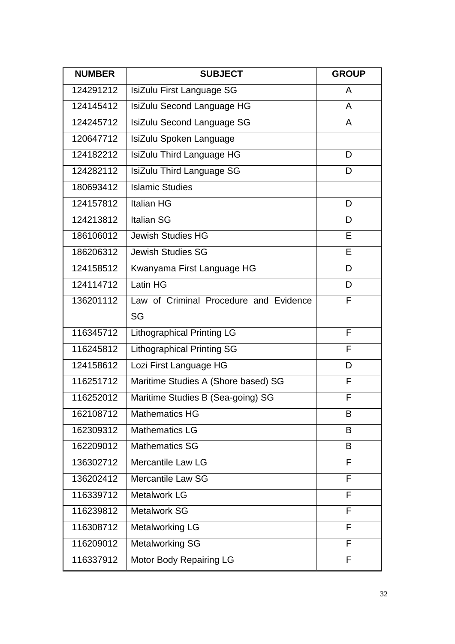| <b>NUMBER</b> | <b>SUBJECT</b>                         | <b>GROUP</b> |
|---------------|----------------------------------------|--------------|
| 124291212     | IsiZulu First Language SG              | A            |
| 124145412     | IsiZulu Second Language HG             | A            |
| 124245712     | IsiZulu Second Language SG             | A            |
| 120647712     | IsiZulu Spoken Language                |              |
| 124182212     | IsiZulu Third Language HG              | D            |
| 124282112     | <b>IsiZulu Third Language SG</b>       | D            |
| 180693412     | <b>Islamic Studies</b>                 |              |
| 124157812     | <b>Italian HG</b>                      | D            |
| 124213812     | <b>Italian SG</b>                      | D            |
| 186106012     | <b>Jewish Studies HG</b>               | E            |
| 186206312     | <b>Jewish Studies SG</b>               | E            |
| 124158512     | Kwanyama First Language HG             | D            |
| 124114712     | Latin HG                               | D            |
| 136201112     | Law of Criminal Procedure and Evidence | F            |
|               | SG                                     |              |
| 116345712     | <b>Lithographical Printing LG</b>      | F            |
| 116245812     | <b>Lithographical Printing SG</b>      | F            |
| 124158612     | Lozi First Language HG                 | D            |
| 116251712     | Maritime Studies A (Shore based) SG    | F            |
| 116252012     | Maritime Studies B (Sea-going) SG      | F            |
| 162108712     | <b>Mathematics HG</b>                  | В            |
| 162309312     | <b>Mathematics LG</b>                  | B            |
| 162209012     | <b>Mathematics SG</b>                  | B            |
| 136302712     | <b>Mercantile Law LG</b>               | F            |
| 136202412     | Mercantile Law SG                      | F            |
| 116339712     | <b>Metalwork LG</b>                    | F            |
| 116239812     | <b>Metalwork SG</b>                    | F            |
| 116308712     | <b>Metalworking LG</b>                 | F            |
| 116209012     | <b>Metalworking SG</b>                 | F            |
| 116337912     | Motor Body Repairing LG                | F            |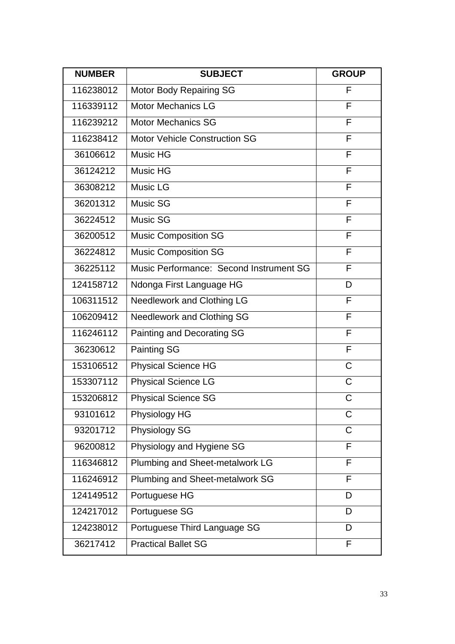| <b>NUMBER</b> | <b>SUBJECT</b>                          | <b>GROUP</b> |
|---------------|-----------------------------------------|--------------|
| 116238012     | Motor Body Repairing SG                 | F            |
| 116339112     | <b>Motor Mechanics LG</b>               | F            |
| 116239212     | <b>Motor Mechanics SG</b>               | F            |
| 116238412     | <b>Motor Vehicle Construction SG</b>    | F            |
| 36106612      | <b>Music HG</b>                         | F            |
| 36124212      | <b>Music HG</b>                         | F            |
| 36308212      | Music LG                                | F            |
| 36201312      | Music SG                                | F            |
| 36224512      | Music SG                                | F            |
| 36200512      | <b>Music Composition SG</b>             | F            |
| 36224812      | <b>Music Composition SG</b>             | F            |
| 36225112      | Music Performance: Second Instrument SG | F            |
| 124158712     | Ndonga First Language HG                | D            |
| 106311512     | Needlework and Clothing LG              | F            |
| 106209412     | <b>Needlework and Clothing SG</b>       | F            |
| 116246112     | Painting and Decorating SG              | F            |
| 36230612      | <b>Painting SG</b>                      | F            |
| 153106512     | <b>Physical Science HG</b>              | C            |
| 153307112     | <b>Physical Science LG</b>              | C            |
| 153206812     | <b>Physical Science SG</b>              | C            |
| 93101612      | Physiology HG                           | С            |
| 93201712      | <b>Physiology SG</b>                    | С            |
| 96200812      | Physiology and Hygiene SG               | F            |
| 116346812     | Plumbing and Sheet-metalwork LG         | F            |
| 116246912     | Plumbing and Sheet-metalwork SG         | F            |
| 124149512     | Portuguese HG                           | D            |
| 124217012     | Portuguese SG                           | D            |
| 124238012     | Portuguese Third Language SG            | D            |
| 36217412      | <b>Practical Ballet SG</b>              | F            |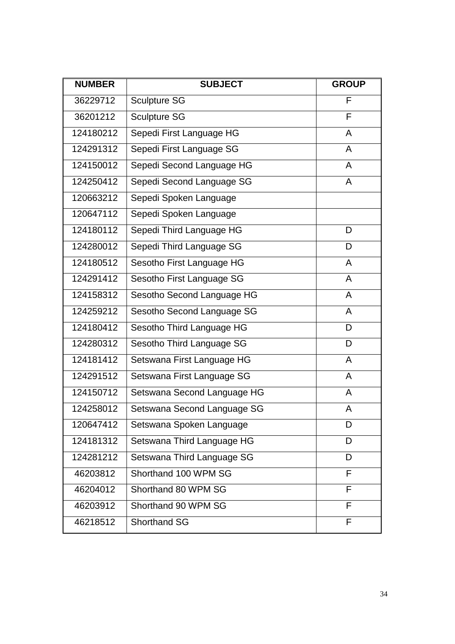| <b>NUMBER</b> | <b>SUBJECT</b>              | <b>GROUP</b> |
|---------------|-----------------------------|--------------|
| 36229712      | <b>Sculpture SG</b>         | F            |
| 36201212      | <b>Sculpture SG</b>         | F            |
| 124180212     | Sepedi First Language HG    | A            |
| 124291312     | Sepedi First Language SG    | A            |
| 124150012     | Sepedi Second Language HG   | A            |
| 124250412     | Sepedi Second Language SG   | A            |
| 120663212     | Sepedi Spoken Language      |              |
| 120647112     | Sepedi Spoken Language      |              |
| 124180112     | Sepedi Third Language HG    | D            |
| 124280012     | Sepedi Third Language SG    | D            |
| 124180512     | Sesotho First Language HG   | $\mathsf{A}$ |
| 124291412     | Sesotho First Language SG   | A            |
| 124158312     | Sesotho Second Language HG  | A            |
| 124259212     | Sesotho Second Language SG  | A            |
| 124180412     | Sesotho Third Language HG   | D            |
| 124280312     | Sesotho Third Language SG   | D            |
| 124181412     | Setswana First Language HG  | A            |
| 124291512     | Setswana First Language SG  | A            |
| 124150712     | Setswana Second Language HG | A            |
| 124258012     | Setswana Second Language SG | A            |
| 120647412     | Setswana Spoken Language    | D            |
| 124181312     | Setswana Third Language HG  | D            |
| 124281212     | Setswana Third Language SG  | D            |
| 46203812      | Shorthand 100 WPM SG        | F            |
| 46204012      | Shorthand 80 WPM SG         | F            |
| 46203912      | Shorthand 90 WPM SG         | F            |
| 46218512      | <b>Shorthand SG</b>         | F            |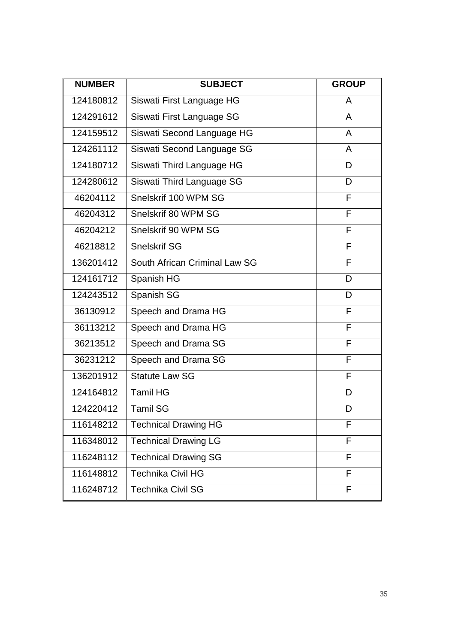| <b>NUMBER</b> | <b>SUBJECT</b>                | <b>GROUP</b> |
|---------------|-------------------------------|--------------|
| 124180812     | Siswati First Language HG     | A            |
| 124291612     | Siswati First Language SG     | A            |
| 124159512     | Siswati Second Language HG    | A            |
| 124261112     | Siswati Second Language SG    | A            |
| 124180712     | Siswati Third Language HG     | D            |
| 124280612     | Siswati Third Language SG     | D            |
| 46204112      | Snelskrif 100 WPM SG          | F            |
| 46204312      | Snelskrif 80 WPM SG           | F            |
| 46204212      | Snelskrif 90 WPM SG           | F            |
| 46218812      | <b>Snelskrif SG</b>           | F            |
| 136201412     | South African Criminal Law SG | F            |
| 124161712     | Spanish HG                    | D            |
| 124243512     | Spanish SG                    | D            |
| 36130912      | Speech and Drama HG           | F            |
| 36113212      | Speech and Drama HG           | F            |
| 36213512      | Speech and Drama SG           | F            |
| 36231212      | Speech and Drama SG           | F            |
| 136201912     | <b>Statute Law SG</b>         | F            |
| 124164812     | <b>Tamil HG</b>               | D            |
| 124220412     | Tamil SG                      | D            |
| 116148212     | <b>Technical Drawing HG</b>   | F            |
| 116348012     | <b>Technical Drawing LG</b>   | F            |
| 116248112     | <b>Technical Drawing SG</b>   | F            |
| 116148812     | <b>Technika Civil HG</b>      | F            |
| 116248712     | <b>Technika Civil SG</b>      | F            |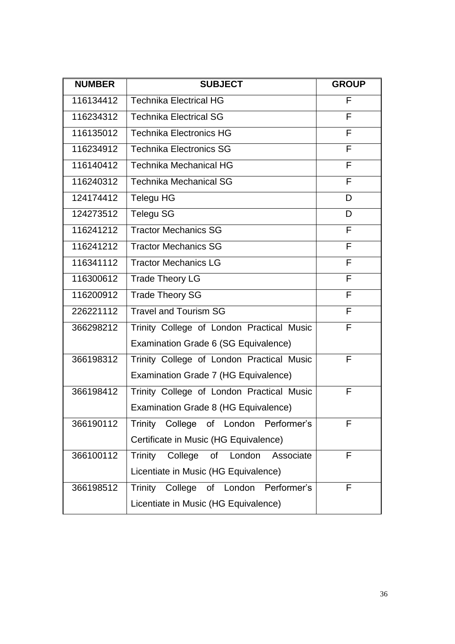| <b>NUMBER</b> | <b>SUBJECT</b>                            | <b>GROUP</b> |
|---------------|-------------------------------------------|--------------|
| 116134412     | <b>Technika Electrical HG</b>             | F            |
| 116234312     | <b>Technika Electrical SG</b>             | F            |
| 116135012     | <b>Technika Electronics HG</b>            | F            |
| 116234912     | <b>Technika Electronics SG</b>            | F            |
| 116140412     | <b>Technika Mechanical HG</b>             | F            |
| 116240312     | <b>Technika Mechanical SG</b>             | F            |
| 124174412     | Telegu HG                                 | D            |
| 124273512     | <b>Telegu SG</b>                          | D            |
| 116241212     | <b>Tractor Mechanics SG</b>               | F            |
| 116241212     | <b>Tractor Mechanics SG</b>               | F            |
| 116341112     | <b>Tractor Mechanics LG</b>               | F            |
| 116300612     | <b>Trade Theory LG</b>                    | F            |
| 116200912     | <b>Trade Theory SG</b>                    | F            |
| 226221112     | <b>Travel and Tourism SG</b>              | F            |
| 366298212     | Trinity College of London Practical Music | F            |
|               | Examination Grade 6 (SG Equivalence)      |              |
| 366198312     | Trinity College of London Practical Music | F            |
|               | Examination Grade 7 (HG Equivalence)      |              |
| 366198412     | Trinity College of London Practical Music | F            |
|               | Examination Grade 8 (HG Equivalence)      |              |
| 366190112     | Trinity College of London Performer's     | F            |
|               | Certificate in Music (HG Equivalence)     |              |
| 366100112     | Trinity College of London<br>Associate    | F            |
|               | Licentiate in Music (HG Equivalence)      |              |
| 366198512     | Trinity College of London Performer's     | F            |
|               | Licentiate in Music (HG Equivalence)      |              |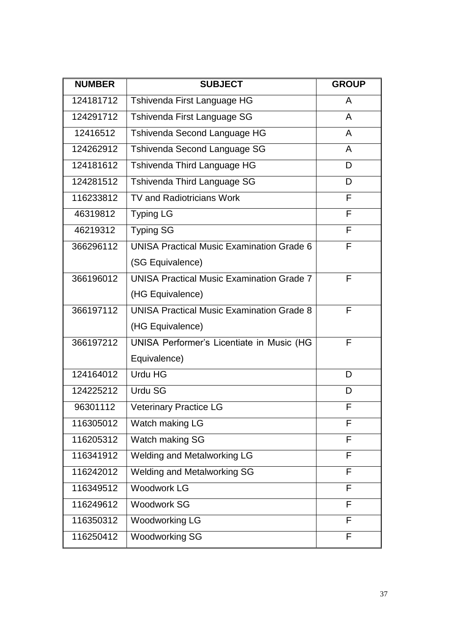| <b>NUMBER</b> | <b>SUBJECT</b>                                   | <b>GROUP</b> |
|---------------|--------------------------------------------------|--------------|
| 124181712     | Tshivenda First Language HG                      | A            |
| 124291712     | Tshivenda First Language SG                      | A            |
| 12416512      | Tshivenda Second Language HG                     | A            |
| 124262912     | Tshivenda Second Language SG                     | A            |
| 124181612     | Tshivenda Third Language HG                      | D            |
| 124281512     | Tshivenda Third Language SG                      | D            |
| 116233812     | <b>TV and Radiotricians Work</b>                 | F            |
| 46319812      | <b>Typing LG</b>                                 | F            |
| 46219312      | <b>Typing SG</b>                                 | F            |
| 366296112     | <b>UNISA Practical Music Examination Grade 6</b> | F            |
|               | (SG Equivalence)                                 |              |
| 366196012     | <b>UNISA Practical Music Examination Grade 7</b> | F            |
|               | (HG Equivalence)                                 |              |
| 366197112     | <b>UNISA Practical Music Examination Grade 8</b> | F            |
|               | (HG Equivalence)                                 |              |
| 366197212     | UNISA Performer's Licentiate in Music (HG        | F            |
|               | Equivalence)                                     |              |
| 124164012     | Urdu HG                                          | D            |
| 124225212     | <b>Urdu SG</b>                                   | D            |
| 96301112      | <b>Veterinary Practice LG</b>                    | F            |
| 116305012     | Watch making LG                                  | F            |
| 116205312     | Watch making SG                                  | F            |
| 116341912     | <b>Welding and Metalworking LG</b><br>F          |              |
| 116242012     | <b>Welding and Metalworking SG</b><br>F          |              |
| 116349512     | <b>Woodwork LG</b>                               | F            |
| 116249612     | <b>Woodwork SG</b>                               | F            |
| 116350312     | <b>Woodworking LG</b>                            | F            |
| 116250412     | <b>Woodworking SG</b>                            | F            |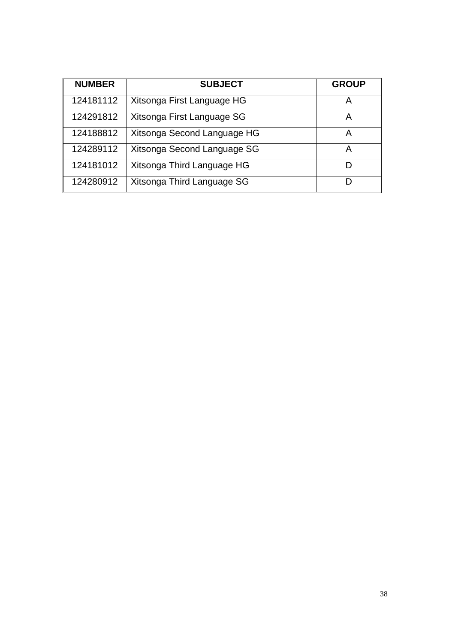| <b>NUMBER</b> | <b>SUBJECT</b>              | <b>GROUP</b> |
|---------------|-----------------------------|--------------|
| 124181112     | Xitsonga First Language HG  | A            |
| 124291812     | Xitsonga First Language SG  | А            |
| 124188812     | Xitsonga Second Language HG | А            |
| 124289112     | Xitsonga Second Language SG | А            |
| 124181012     | Xitsonga Third Language HG  |              |
| 124280912     | Xitsonga Third Language SG  |              |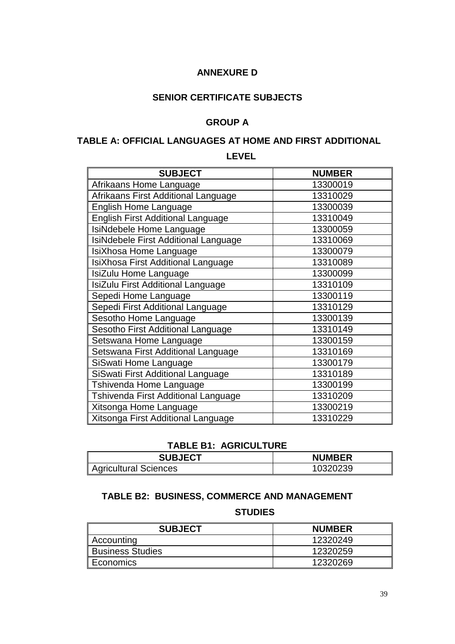## **ANNEXURE D**

### **SENIOR CERTIFICATE SUBJECTS**

### **GROUP A**

### **TABLE A: OFFICIAL LANGUAGES AT HOME AND FIRST ADDITIONAL**

#### **LEVEL**

| <b>SUBJECT</b>                           | <b>NUMBER</b> |
|------------------------------------------|---------------|
| Afrikaans Home Language                  | 13300019      |
| Afrikaans First Additional Language      | 13310029      |
| <b>English Home Language</b>             | 13300039      |
| <b>English First Additional Language</b> | 13310049      |
| IsiNdebele Home Language                 | 13300059      |
| IsiNdebele First Additional Language     | 13310069      |
| IsiXhosa Home Language                   | 13300079      |
| IsiXhosa First Additional Language       | 13310089      |
| IsiZulu Home Language                    | 13300099      |
| IsiZulu First Additional Language        | 13310109      |
| Sepedi Home Language                     | 13300119      |
| Sepedi First Additional Language         | 13310129      |
| Sesotho Home Language                    | 13300139      |
| Sesotho First Additional Language        | 13310149      |
| Setswana Home Language                   | 13300159      |
| Setswana First Additional Language       | 13310169      |
| SiSwati Home Language                    | 13300179      |
| SiSwati First Additional Language        | 13310189      |
| Tshivenda Home Language                  | 13300199      |
| Tshivenda First Additional Language      | 13310209      |
| Xitsonga Home Language                   | 13300219      |
| Xitsonga First Additional Language       | 13310229      |

#### **TABLE B1: AGRICULTURE**

| <b>SUBJECT</b>        | <b>NUMBER</b> |  |
|-----------------------|---------------|--|
| Agricultural Sciences | 10320239      |  |

## **TABLE B2: BUSINESS, COMMERCE AND MANAGEMENT**

**STUDIES**

| <b>SUBJECT</b>         | <b>NUMBER</b> |
|------------------------|---------------|
| $\parallel$ Accounting | 12320249      |
| Business Studies       | 12320259      |
| ∥ Economics            | 12320269      |